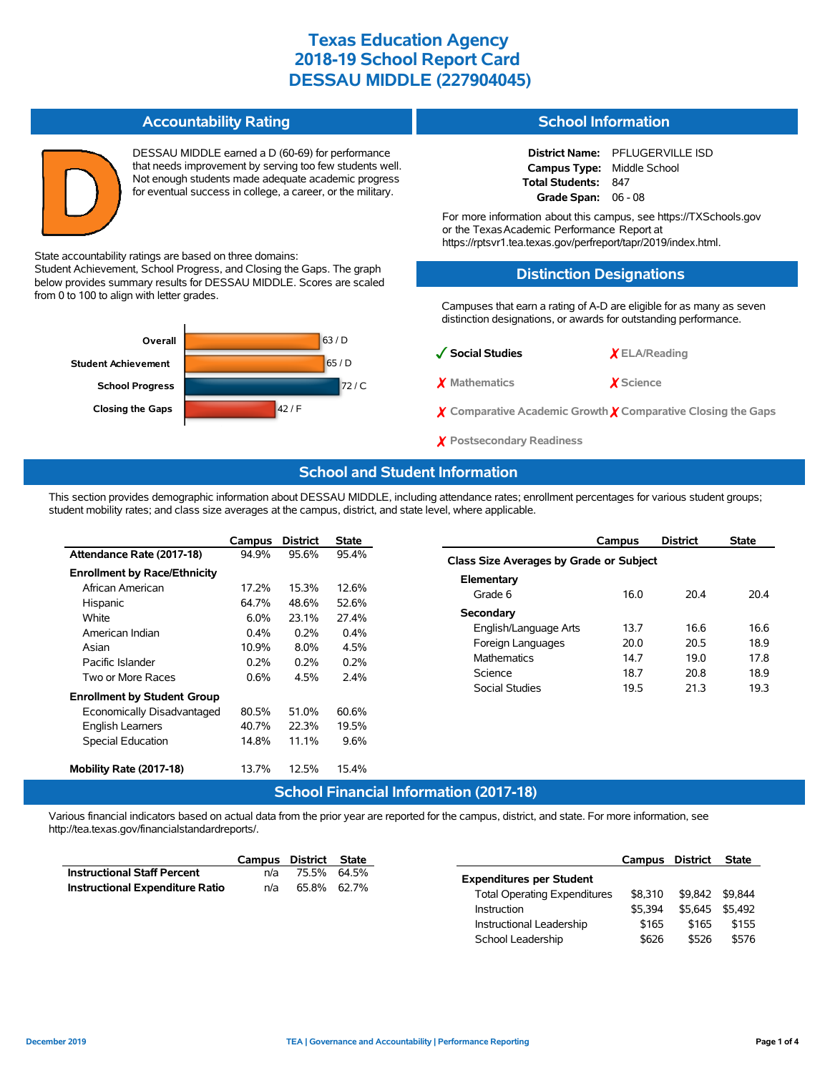#### **Accountability Rating**

State accountability ratings are based on three domains:

from 0 to 100 to align with letter grades.

DESSAU MIDDLE earned a D (60-69) for performance that needs improvement by serving too few students well. Not enough students made adequate academic progress for eventual success in college, a career, or the military.

### **School Information**

**District Name:** PFLUGERVILLE ISD **Campus Type:** Middle School **Total Students:** 847 **Grade Span:** 06 - 08

For more information about this campus, see https://TXSchools.gov or the TexasAcademic Performance Report at https://rptsvr1.tea.texas.gov/perfreport/tapr/2019/index.html.

#### **Distinction Designations**

Campuses that earn a rating of A-D are eligible for as many as seven distinction designations, or awards for outstanding performance.



Student Achievement, School Progress, and Closing the Gaps. The graph below provides summary results for DESSAU MIDDLE. Scores are scaled

# ✓**Social Studies** ✗ **ELA/Reading** ✗ **Mathematics** ✗ **Science**

- ✗ **Comparative Academic Growth** ✗ **Comparative Closing the Gaps**
- ✗ **Postsecondary Readiness**

#### **School and Student Information**

This section provides demographic information about DESSAU MIDDLE, including attendance rates; enrollment percentages for various student groups; student mobility rates; and class size averages at the campus, district, and state level, where applicable.

|                                     | Campus  | <b>District</b>                           | <b>State</b> |
|-------------------------------------|---------|-------------------------------------------|--------------|
| Attendance Rate (2017-18)           | 94.9%   | 95.6%                                     | 95.4%        |
| <b>Enrollment by Race/Ethnicity</b> |         |                                           |              |
| African American                    | 17.2%   | 15.3%                                     | 12.6%        |
| Hispanic                            | 64.7%   | 48.6%                                     | 52.6%        |
| White                               | 6.0%    | 23.1%                                     | 27.4%        |
| American Indian                     | $0.4\%$ | $0.2\%$                                   | $0.4\%$      |
| Asian                               | 10.9%   | $8.0\%$                                   | 4.5%         |
| Pacific Islander                    | $0.2\%$ | $0.2\%$                                   | 0.2%         |
| Two or More Races                   | 0.6%    | 4.5%                                      | 2.4%         |
| <b>Enrollment by Student Group</b>  |         |                                           |              |
| Economically Disadvantaged          | 80.5%   | 51.0%                                     | 60.6%        |
| <b>English Learners</b>             | 40.7%   | 22.3%                                     | 19.5%        |
| <b>Special Education</b>            | 14.8%   | 11.1%                                     | 9.6%         |
|                                     |         |                                           |              |
| Mobility Rate (2017-18)             | 13.7%   | 12.5%                                     | 15.4%        |
|                                     |         | <b>A</b> . Let a let $\mathbb{R}^n$ . Let |              |

|                                         | Campus | <b>District</b> | <b>State</b> |  |  |  |  |  |  |
|-----------------------------------------|--------|-----------------|--------------|--|--|--|--|--|--|
| Class Size Averages by Grade or Subject |        |                 |              |  |  |  |  |  |  |
| Elementary                              |        |                 |              |  |  |  |  |  |  |
| Grade 6                                 | 16.0   | 204             | 204          |  |  |  |  |  |  |
| Secondary                               |        |                 |              |  |  |  |  |  |  |
| English/Language Arts                   | 13.7   | 16 6            | 16 6         |  |  |  |  |  |  |
| Foreign Languages                       | 20.0   | 20.5            | 18.9         |  |  |  |  |  |  |
| <b>Mathematics</b>                      | 147    | 19 O            | 17.8         |  |  |  |  |  |  |
| Science                                 | 18.7   | 20.8            | 18.9         |  |  |  |  |  |  |
| Social Studies                          | 19.5   | 21.3            | 19.3         |  |  |  |  |  |  |

#### **School Financial Information (2017-18)**

Various financial indicators based on actual data from the prior year are reported for the campus, district, and state. For more information, see http://tea.texas.gov/financialstandardreports/.

|                                        | Campus                   | District State |             |                                     | Campus  | <b>District</b> | <b>State</b> |
|----------------------------------------|--------------------------|----------------|-------------|-------------------------------------|---------|-----------------|--------------|
| <b>Instructional Staff Percent</b>     | n/a                      | 75.5%          | 64.5%       | <b>Expenditures per Student</b>     |         |                 |              |
| <b>Instructional Expenditure Ratio</b> | n/a                      |                | 65.8% 62.7% | <b>Total Operating Expenditures</b> | \$8.310 | \$9.842 \$9.844 |              |
|                                        |                          |                |             | <b>Instruction</b>                  |         | \$5.645 \$5.492 |              |
|                                        | Instructional Leadership |                |             | \$165                               | \$165   | \$155           |              |
|                                        |                          |                |             | School Leadership                   | \$626   | \$526           | \$576        |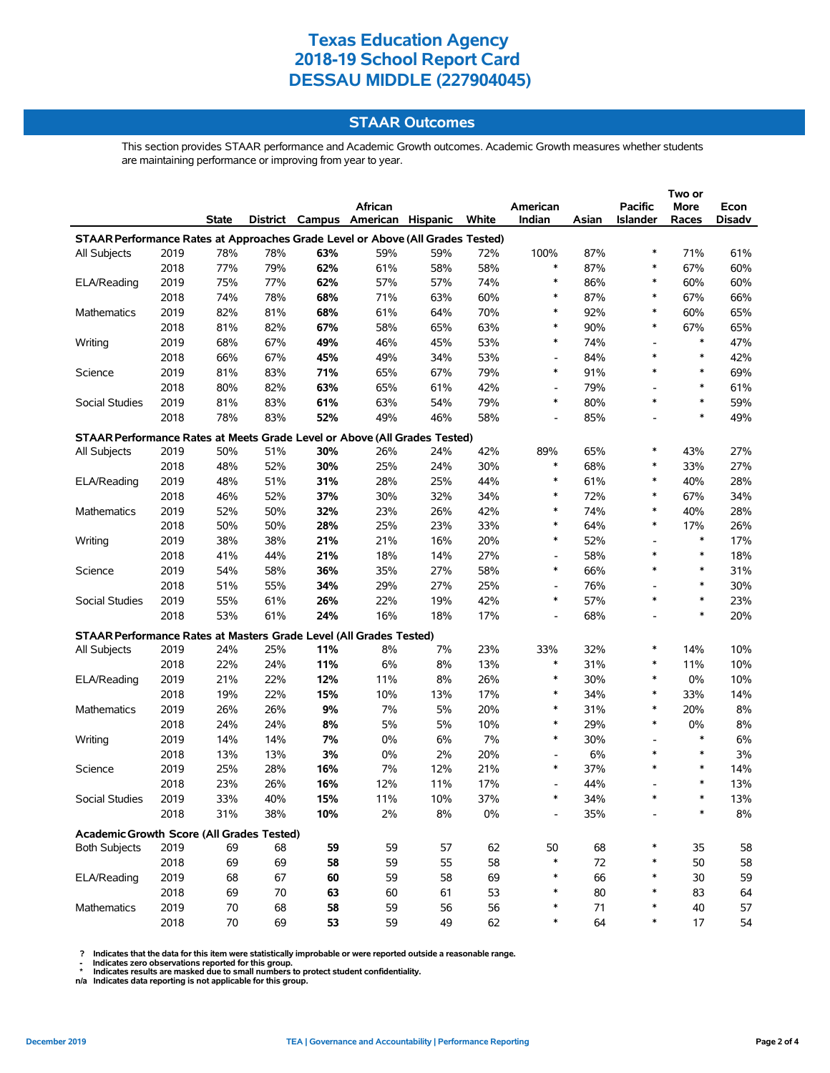#### **STAAR Outcomes**

This section provides STAAR performance and Academic Growth outcomes. Academic Growth measures whether students are maintaining performance or improving from year to year.

|                                                                                |      |       |     |            |                                   |            |       |                          |       | Two or                   |        |            |
|--------------------------------------------------------------------------------|------|-------|-----|------------|-----------------------------------|------------|-------|--------------------------|-------|--------------------------|--------|------------|
|                                                                                |      |       |     |            | African                           |            |       | American                 |       | <b>Pacific</b>           | More   | Econ       |
|                                                                                |      | State |     |            | District Campus American Hispanic |            | White | Indian                   | Asian | <b>Islander</b>          | Races  | Disadv     |
| STAAR Performance Rates at Approaches Grade Level or Above (All Grades Tested) |      |       |     |            |                                   |            |       |                          |       |                          |        |            |
| All Subjects                                                                   | 2019 | 78%   | 78% | 63%        | 59%                               | 59%        | 72%   | 100%                     | 87%   | *                        | 71%    | 61%        |
|                                                                                | 2018 | 77%   | 79% | 62%        | 61%                               | 58%        | 58%   | $\ast$                   | 87%   | $\ast$                   | 67%    | 60%        |
| ELA/Reading                                                                    | 2019 | 75%   | 77% | 62%        | 57%                               | 57%        | 74%   | $\ast$                   | 86%   | $\ast$                   | 60%    | 60%        |
|                                                                                | 2018 | 74%   | 78% | 68%        | 71%                               | 63%        | 60%   | $\ast$                   | 87%   | *                        | 67%    | 66%        |
| Mathematics                                                                    | 2019 | 82%   | 81% | 68%        | 61%                               | 64%        | 70%   | $\ast$                   | 92%   | *                        | 60%    | 65%        |
|                                                                                | 2018 | 81%   | 82% | 67%        | 58%                               | 65%        | 63%   | $\ast$                   | 90%   | *                        | 67%    | 65%        |
| Writing                                                                        | 2019 | 68%   | 67% | 49%        | 46%                               | 45%        | 53%   | $\ast$                   | 74%   |                          | $\ast$ | 47%        |
|                                                                                | 2018 | 66%   | 67% | 45%        | 49%                               | 34%        | 53%   | $\overline{a}$           | 84%   | *                        | $\ast$ | 42%        |
| Science                                                                        | 2019 | 81%   | 83% | 71%        | 65%                               | 67%        | 79%   | $\ast$                   | 91%   | *                        | $\ast$ | 69%        |
|                                                                                | 2018 | 80%   | 82% | 63%        | 65%                               | 61%        | 42%   | $\overline{\phantom{a}}$ | 79%   | $\overline{a}$           | $\ast$ | 61%        |
| Social Studies                                                                 | 2019 | 81%   | 83% | 61%        | 63%                               | 54%        | 79%   | $\ast$                   | 80%   | *                        | $\ast$ | 59%        |
|                                                                                | 2018 | 78%   | 83% | 52%        | 49%                               | 46%        | 58%   |                          | 85%   |                          | $\ast$ | 49%        |
|                                                                                |      |       |     |            |                                   |            |       |                          |       |                          |        |            |
| STAAR Performance Rates at Meets Grade Level or Above (All Grades Tested)      |      |       |     |            |                                   |            |       |                          |       |                          |        |            |
| All Subjects                                                                   | 2019 | 50%   | 51% | 30%        | 26%                               | 24%        | 42%   | 89%                      | 65%   | *                        | 43%    | 27%        |
|                                                                                | 2018 | 48%   | 52% | 30%        | 25%                               | 24%        | 30%   | $\ast$                   | 68%   | *                        | 33%    | 27%        |
| ELA/Reading                                                                    | 2019 | 48%   | 51% | 31%        | 28%                               | 25%        | 44%   | $\ast$                   | 61%   | *                        | 40%    | 28%        |
|                                                                                | 2018 | 46%   | 52% | 37%        | 30%                               | 32%        | 34%   | $\ast$                   | 72%   | $\ast$                   | 67%    | 34%        |
| Mathematics                                                                    | 2019 | 52%   | 50% | 32%        | 23%                               | 26%        | 42%   | $\ast$                   | 74%   | *                        | 40%    | 28%        |
|                                                                                | 2018 | 50%   | 50% | 28%        | 25%                               | 23%        | 33%   | $\ast$                   | 64%   | *                        | 17%    | 26%        |
| Writing                                                                        | 2019 | 38%   | 38% | 21%        | 21%                               | 16%        | 20%   | $\ast$                   | 52%   |                          | $\ast$ | 17%        |
|                                                                                | 2018 | 41%   | 44% | 21%        | 18%                               | 14%        | 27%   |                          | 58%   | *                        | $\ast$ | 18%        |
| Science                                                                        | 2019 | 54%   | 58% | 36%        | 35%                               | 27%        | 58%   | $\ast$                   | 66%   | *                        | $\ast$ | 31%        |
|                                                                                | 2018 | 51%   | 55% | 34%        | 29%                               | 27%        | 25%   |                          | 76%   |                          | $\ast$ | 30%        |
| Social Studies                                                                 | 2019 | 55%   | 61% | 26%        | 22%                               | 19%        | 42%   | $\ast$                   | 57%   | *                        | $\ast$ | 23%        |
|                                                                                | 2018 | 53%   | 61% | 24%        | 16%                               | 18%        | 17%   | $\overline{\phantom{a}}$ | 68%   | $\overline{\phantom{a}}$ | $\ast$ | 20%        |
| STAAR Performance Rates at Masters Grade Level (All Grades Tested)             |      |       |     |            |                                   |            |       |                          |       |                          |        |            |
| All Subjects                                                                   | 2019 | 24%   | 25% | 11%        | 8%                                | 7%         | 23%   | 33%                      | 32%   | $\ast$                   | 14%    | 10%        |
|                                                                                | 2018 | 22%   | 24% | 11%        | 6%                                | 8%         | 13%   | $\ast$                   | 31%   | $\ast$                   | 11%    | 10%        |
| ELA/Reading                                                                    | 2019 | 21%   | 22% | 12%        | 11%                               | 8%         | 26%   | $\ast$                   | 30%   | *                        | 0%     | 10%        |
|                                                                                | 2018 | 19%   | 22% | 15%        | 10%                               | 13%        | 17%   | ∗                        | 34%   | *                        | 33%    | 14%        |
| Mathematics                                                                    | 2019 | 26%   | 26% | 9%         | 7%                                | 5%         | 20%   | $\ast$                   | 31%   | *                        | 20%    | 8%         |
|                                                                                | 2018 | 24%   | 24% | 8%         | 5%                                | 5%         | 10%   | $\ast$                   | 29%   | *                        | 0%     | 8%         |
| Writing                                                                        | 2019 | 14%   | 14% | 7%         | $0\%$                             | 6%         | 7%    | $\ast$                   | 30%   |                          | $\ast$ | 6%         |
|                                                                                | 2018 | 13%   | 13% | 3%         | 0%                                | 2%         | 20%   | $\overline{\phantom{a}}$ | 6%    | *                        | $\ast$ | 3%         |
| Science                                                                        | 2019 | 25%   | 28% |            |                                   |            | 21%   | ∗                        | 37%   | $\ast$                   | $\ast$ |            |
|                                                                                | 2018 | 23%   | 26% | 16%<br>16% | 7%<br>12%                         | 12%<br>11% | 17%   |                          | 44%   |                          | $\ast$ | 14%<br>13% |
|                                                                                |      |       |     |            |                                   |            |       |                          |       |                          |        |            |
| Social Studies                                                                 | 2019 | 33%   | 40% | 15%        | 11%                               | 10%        | 37%   |                          | 34%   |                          | ∗      | 13%        |
|                                                                                | 2018 | 31%   | 38% | 10%        | 2%                                | 8%         | 0%    |                          | 35%   |                          |        | 8%         |
| Academic Growth Score (All Grades Tested)                                      |      |       |     |            |                                   |            |       |                          |       |                          |        |            |
| <b>Both Subjects</b>                                                           | 2019 | 69    | 68  | 59         | 59                                | 57         | 62    | 50                       | 68    | *                        | 35     | 58         |
|                                                                                | 2018 | 69    | 69  | 58         | 59                                | 55         | 58    | $\ast$                   | 72    | *                        | 50     | 58         |
| ELA/Reading                                                                    | 2019 | 68    | 67  | 60         | 59                                | 58         | 69    | ∗                        | 66    | *                        | 30     | 59         |
|                                                                                | 2018 | 69    | 70  | 63         | 60                                | 61         | 53    | ∗                        | 80    | *                        | 83     | 64         |
| <b>Mathematics</b>                                                             | 2019 | 70    | 68  | 58         | 59                                | 56         | 56    | ∗                        | 71    | *                        | 40     | 57         |
|                                                                                | 2018 | 70    | 69  | 53         | 59                                | 49         | 62    | ∗                        | 64    | *                        | 17     | 54         |

? Indicates that the data for this item were statistically improbable or were reported outside a reasonable range.<br>- Indicates zero observations reported for this group.<br>\* Indicates results are masked due to small numbers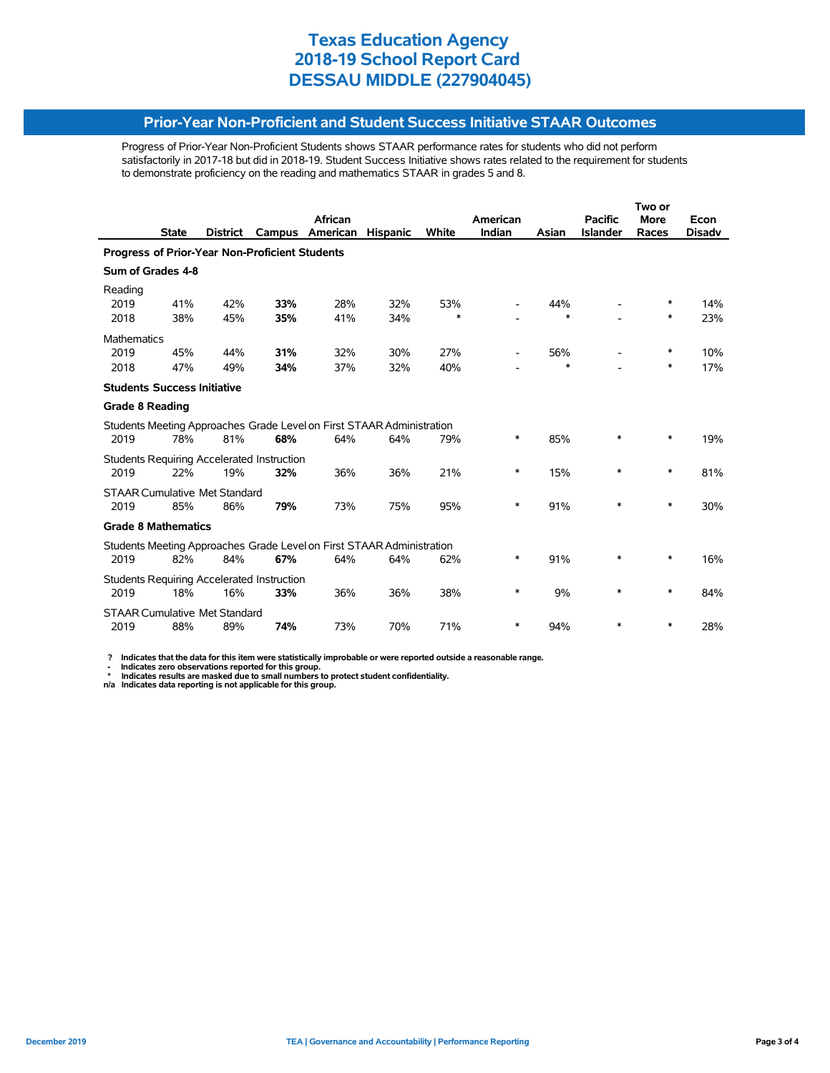#### **Prior-Year Non-Proficient and Student Success Initiative STAAR Outcomes**

Progress of Prior-Year Non-Proficient Students shows STAAR performance rates for students who did not perform satisfactorily in 2017-18 but did in 2018-19. Student Success Initiative shows rates related to the requirement for students to demonstrate proficiency on the reading and mathematics STAAR in grades 5 and 8.

|                                                       |              |                 |                                                   | <b>African</b>                                                        |                 |        | American |        | <b>Pacific</b>  | <b>More</b> | Econ          |  |  |
|-------------------------------------------------------|--------------|-----------------|---------------------------------------------------|-----------------------------------------------------------------------|-----------------|--------|----------|--------|-----------------|-------------|---------------|--|--|
|                                                       | <b>State</b> | <b>District</b> | Campus                                            | American                                                              | <b>Hispanic</b> | White  | Indian   | Asian  | <b>Islander</b> | Races       | <b>Disadv</b> |  |  |
| <b>Progress of Prior-Year Non-Proficient Students</b> |              |                 |                                                   |                                                                       |                 |        |          |        |                 |             |               |  |  |
| Sum of Grades 4-8                                     |              |                 |                                                   |                                                                       |                 |        |          |        |                 |             |               |  |  |
| Reading                                               |              |                 |                                                   |                                                                       |                 |        |          |        |                 |             |               |  |  |
| 2019                                                  | 41%          | 42%             | 33%                                               | 28%                                                                   | 32%             | 53%    |          | 44%    |                 | ∗           | 14%           |  |  |
| 2018                                                  | 38%          | 45%             | 35%                                               | 41%                                                                   | 34%             | $\ast$ |          | $\ast$ |                 | $\ast$      | 23%           |  |  |
| Mathematics                                           |              |                 |                                                   |                                                                       |                 |        |          |        |                 |             |               |  |  |
| 2019                                                  | 45%          | 44%             | 31%                                               | 32%                                                                   | 30%             | 27%    |          | 56%    |                 | $\ast$      | 10%           |  |  |
| 2018                                                  | 47%          | 49%             | 34%                                               | 37%                                                                   | 32%             | 40%    |          | $\ast$ |                 | ∗           | 17%           |  |  |
| <b>Students Success Initiative</b>                    |              |                 |                                                   |                                                                       |                 |        |          |        |                 |             |               |  |  |
| <b>Grade 8 Reading</b>                                |              |                 |                                                   |                                                                       |                 |        |          |        |                 |             |               |  |  |
|                                                       |              |                 |                                                   | Students Meeting Approaches Grade Level on First STAAR Administration |                 |        |          |        |                 |             |               |  |  |
| 2019                                                  | 78%          | 81%             | 68%                                               | 64%                                                                   | 64%             | 79%    | *        | 85%    | $\ast$          | $\ast$      | 19%           |  |  |
|                                                       |              |                 | Students Requiring Accelerated Instruction        |                                                                       |                 |        |          |        |                 |             |               |  |  |
| 2019                                                  | 22%          | 19%             | 32%                                               | 36%                                                                   | 36%             | 21%    | *        | 15%    | $\ast$          | $\ast$      | 81%           |  |  |
| <b>STAAR Cumulative Met Standard</b>                  |              |                 |                                                   |                                                                       |                 |        |          |        |                 |             |               |  |  |
| 2019                                                  | 85%          | 86%             | 79%                                               | 73%                                                                   | 75%             | 95%    | $\ast$   | 91%    | *               | $\ast$      | 30%           |  |  |
| <b>Grade 8 Mathematics</b>                            |              |                 |                                                   |                                                                       |                 |        |          |        |                 |             |               |  |  |
|                                                       |              |                 |                                                   |                                                                       |                 |        |          |        |                 |             |               |  |  |
|                                                       |              |                 |                                                   | Students Meeting Approaches Grade Level on First STAAR Administration |                 |        |          |        |                 |             |               |  |  |
| 2019                                                  | 82%          | 84%             | 67%                                               | 64%                                                                   | 64%             | 62%    | *        | 91%    | *               | $\ast$      | 16%           |  |  |
|                                                       |              |                 | <b>Students Requiring Accelerated Instruction</b> |                                                                       |                 |        |          |        |                 |             |               |  |  |
| 2019                                                  | 18%          | 16%             | 33%                                               | 36%                                                                   | 36%             | 38%    | *        | 9%     | *               | *           | 84%           |  |  |
| <b>STAAR Cumulative Met Standard</b>                  |              |                 |                                                   |                                                                       |                 |        |          |        |                 |             |               |  |  |
| 2019                                                  | 88%          | 89%             | 74%                                               | 73%                                                                   | 70%             | 71%    | *        | 94%    | $\ast$          | *           | 28%           |  |  |
|                                                       |              |                 |                                                   |                                                                       |                 |        |          |        |                 |             |               |  |  |

 **? Indicates that the data for this item were statistically improbable or were reported outside a reasonable range.**

- Indicates zero observations reported for this group.<br>\* Indicates results are masked due to small numbers to protect student confidentiality.<br>n/a Indicates data reporting is not applicable for this group.

l,